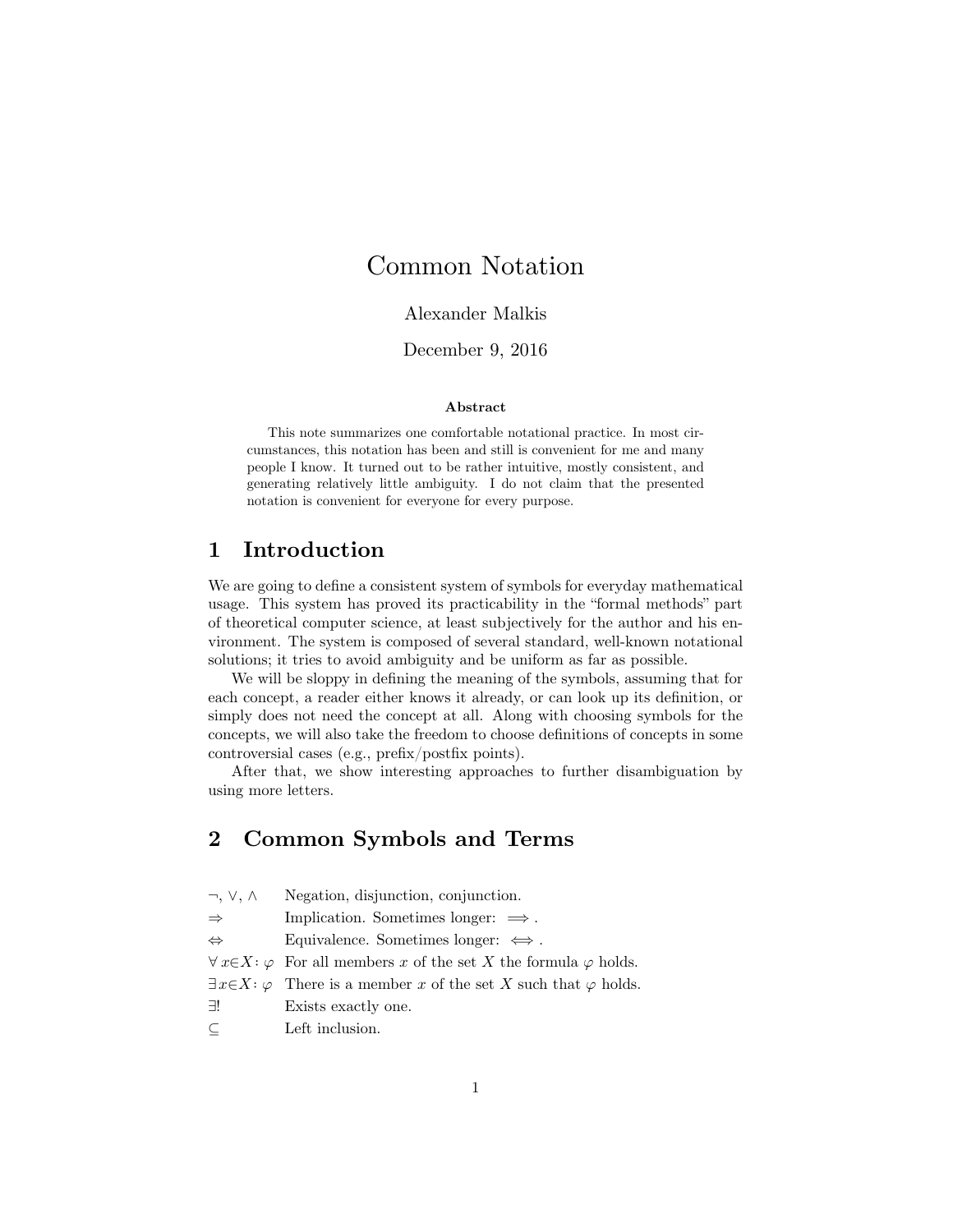# Common Notation

## Alexander Malkis

## December 9, 2016

#### **Abstract**

This note summarizes one comfortable notational practice. In most circumstances, this notation has been and still is convenient for me and many people I know. It turned out to be rather intuitive, mostly consistent, and generating relatively little ambiguity. I do not claim that the presented notation is convenient for everyone for every purpose.

# **1 Introduction**

We are going to define a consistent system of symbols for everyday mathematical usage. This system has proved its practicability in the "formal methods" part of theoretical computer science, at least subjectively for the author and his environment. The system is composed of several standard, well-known notational solutions; it tries to avoid ambiguity and be uniform as far as possible.

We will be sloppy in defining the meaning of the symbols, assuming that for each concept, a reader either knows it already, or can look up its definition, or simply does not need the concept at all. Along with choosing symbols for the concepts, we will also take the freedom to choose definitions of concepts in some controversial cases (e.g., prefix/postfix points).

After that, we show interesting approaches to further disambiguation by using more letters.

# **2 Common Symbols and Terms**

| $\neg, \vee, \wedge$ | Negation, disjunction, conjunction.                                                     |
|----------------------|-----------------------------------------------------------------------------------------|
| $\Rightarrow$        | Implication. Sometimes longer: $\implies$ .                                             |
| $\Leftrightarrow$    | Equivalence. Sometimes longer: $\iff$ .                                                 |
|                      | $\forall x \in X : \varphi$ For all members x of the set X the formula $\varphi$ holds. |
|                      | $\exists x \in X : \varphi$ There is a member x of the set X such that $\varphi$ holds. |
| ∃!                   | Exists exactly one.                                                                     |
| $\subseteq$          | Left inclusion.                                                                         |
|                      |                                                                                         |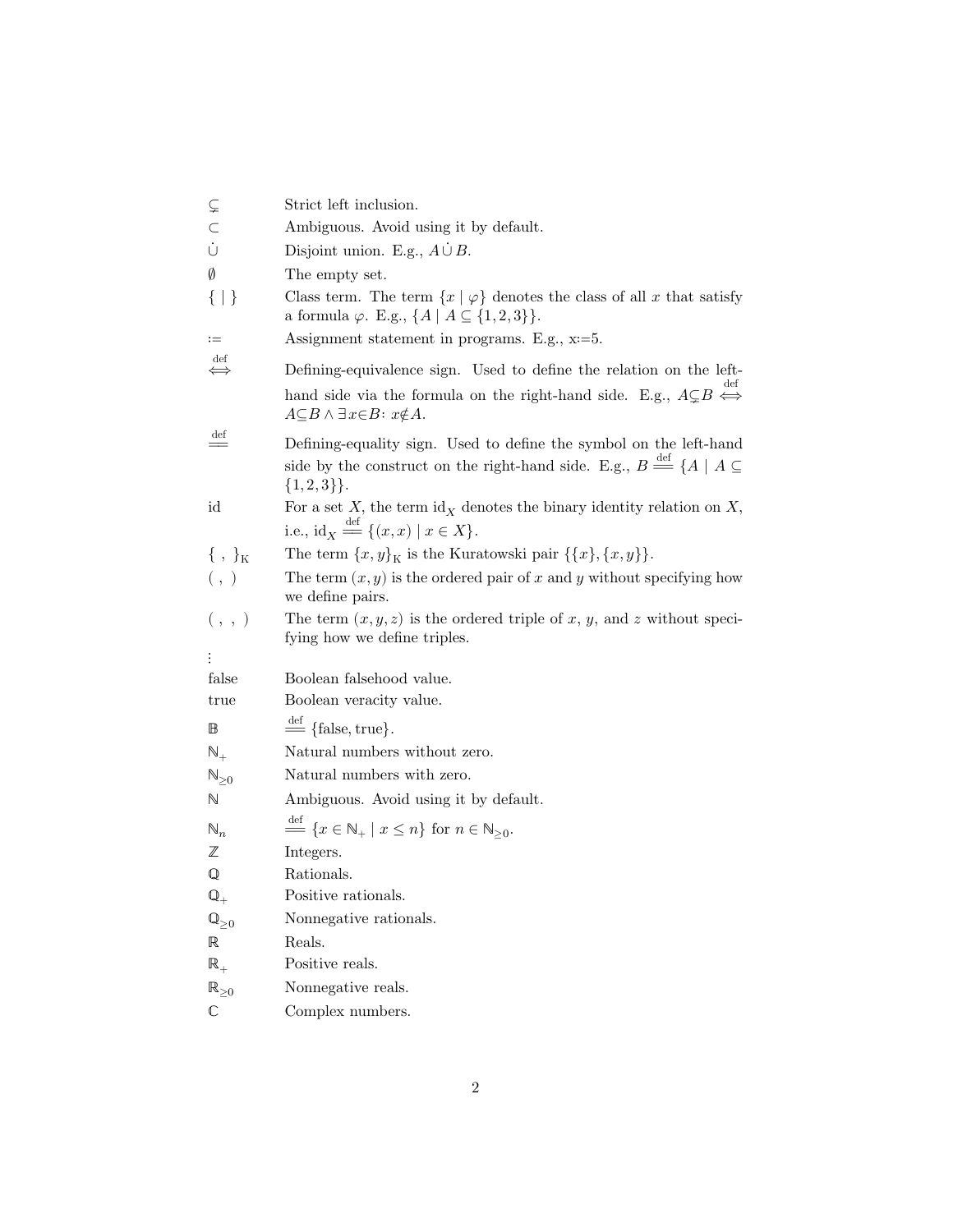|                       | Strict left inclusion.                                                                                                                                                                                                   |
|-----------------------|--------------------------------------------------------------------------------------------------------------------------------------------------------------------------------------------------------------------------|
| C                     | Ambiguous. Avoid using it by default.                                                                                                                                                                                    |
| Ů                     | Disjoint union. E.g., $A \cup B$ .                                                                                                                                                                                       |
| Ø                     | The empty set.                                                                                                                                                                                                           |
| $\{   \}$             | Class term. The term $\{x \mid \varphi\}$ denotes the class of all x that satisfy<br>a formula $\varphi$ . E.g., $\{A \mid A \subseteq \{1,2,3\}\}.$                                                                     |
| $:=$                  | Assignment statement in programs. E.g., x=5.                                                                                                                                                                             |
| $\det$<br>$\iff$      | Defining-equivalence sign. Used to define the relation on the left-<br>hand side via the formula on the right-hand side. E.g., $A\subsetneq B \Leftrightarrow$<br>$A \subseteq B \land \exists x \in B$ : $x \notin A$ . |
| def<br>$=$            | Defining-equality sign. Used to define the symbol on the left-hand<br>side by the construct on the right-hand side. E.g., $B \stackrel{\text{def}}{=} \{A \mid A \subseteq$<br>${1,2,3}$ .                               |
| id                    | For a set X, the term $\mathrm{id}_X$ denotes the binary identity relation on X,<br>i.e., $\mathrm{id}_X \stackrel{\text{def}}{=\!\!=} \{(x,x) \mid x \in X\}.$                                                          |
| $\{\, ,\, \}_{K}$     | The term $\{x,y\}_{\mathcal{K}}$ is the Kuratowski pair $\{\{x\},\{x,y\}\}.$                                                                                                                                             |
| ( , )                 | The term $(x, y)$ is the ordered pair of x and y without specifying how<br>we define pairs.                                                                                                                              |
| ( , , )               | The term $(x, y, z)$ is the ordered triple of x, y, and z without speci-<br>fying how we define triples.                                                                                                                 |
|                       |                                                                                                                                                                                                                          |
| false                 | Boolean falsehood value.                                                                                                                                                                                                 |
| true                  | Boolean veracity value.                                                                                                                                                                                                  |
| $\mathbb B$           | $\stackrel{\text{def}}{=}$ {false, true}.                                                                                                                                                                                |
| $\mathbb{N}_+$        | Natural numbers without zero.                                                                                                                                                                                            |
| $\mathbb{N}_{\geq 0}$ | Natural numbers with zero.                                                                                                                                                                                               |
| N                     | Ambiguous. Avoid using it by default.                                                                                                                                                                                    |
| $\mathbb{N}_n$        | $\stackrel{\text{det}}{=} \{x \in \mathbb{N}_+ \mid x \leq n\}$ for $n \in \mathbb{N}_{\geq 0}$ .                                                                                                                        |
| $\mathbb Z$           | Integers.                                                                                                                                                                                                                |
| ${\mathbb Q}$         | Rationals.                                                                                                                                                                                                               |
| $\mathbb{Q}_+$        | Positive rationals.                                                                                                                                                                                                      |
| $\mathbb{Q}_{\geq 0}$ | Nonnegative rationals.                                                                                                                                                                                                   |
| $\mathbb R$           | Reals.                                                                                                                                                                                                                   |
| $\mathbb{R}_+$        | Positive reals.                                                                                                                                                                                                          |
| $\mathbb{R}_{\geq 0}$ | Nonnegative reals.                                                                                                                                                                                                       |
| $\mathbb C$           | Complex numbers.                                                                                                                                                                                                         |
|                       |                                                                                                                                                                                                                          |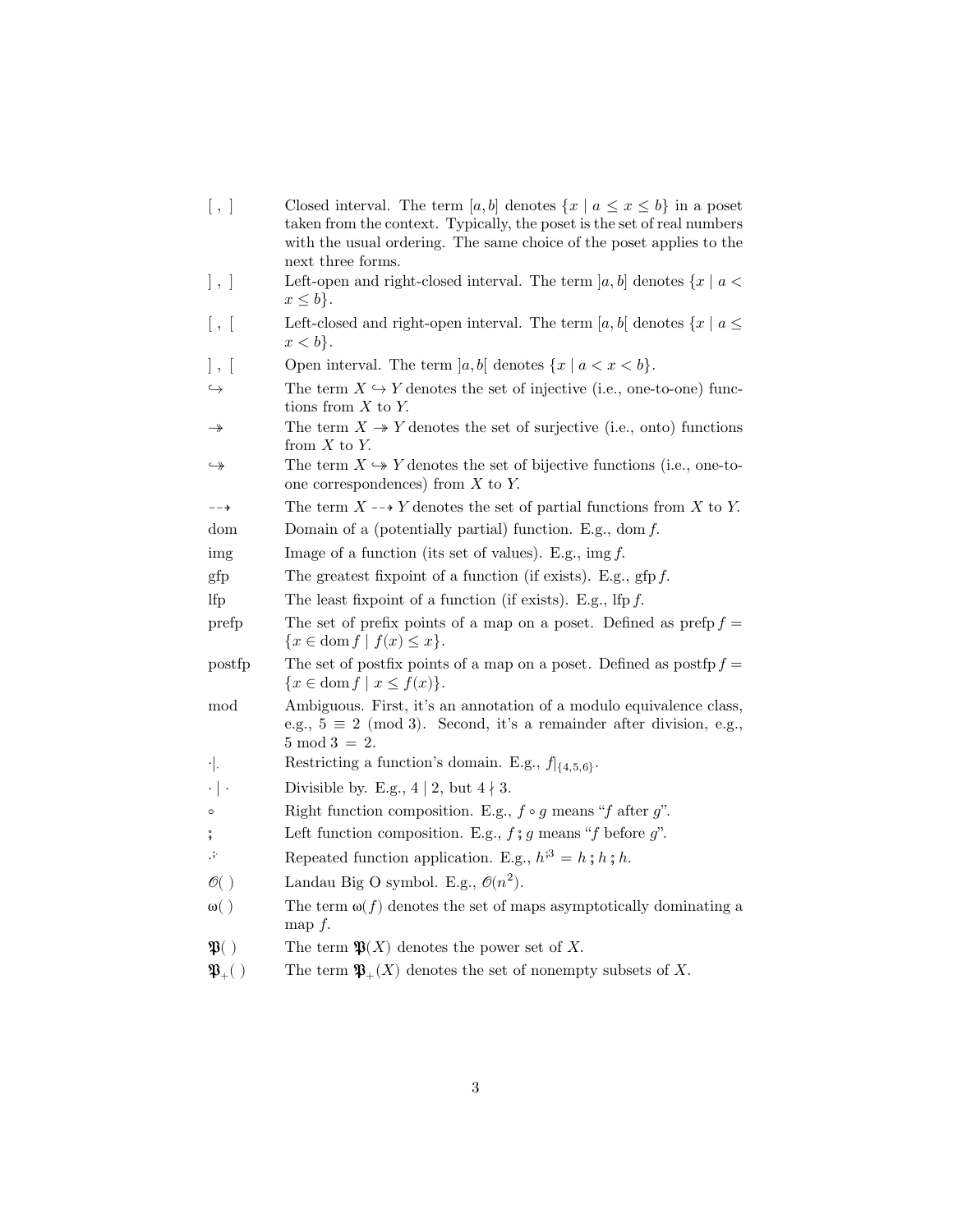- [, ] Closed interval. The term  $[a, b]$  denotes  $\{x \mid a \le x \le b\}$  in a poset taken from the context. Typically, the poset is the set of real numbers with the usual ordering. The same choice of the poset applies to the next three forms. ], ] Left-open and right-closed interval. The term  $[a, b]$  denotes  $\{x \mid a <$  $x \leq b$ . [, [ Left-closed and right-open interval. The term  $[a, b]$  denotes  $\{x \mid a \leq a\}$  $x < b$ . |,  $\lbrack$  Open interval. The term  $\lbrack a, b \rbrack$  denotes  $\{x \mid a < x < b\}.$  $\hookrightarrow$  The term  $X \hookrightarrow Y$  denotes the set of injective (i.e., one-to-one) functions from  $X$  to  $Y$ .  $\rightarrow$  The term  $X \rightarrow Y$  denotes the set of surjective (i.e., onto) functions from  $X$  to  $Y$ .  $\Rightarrow$  The term  $X \rightarrow Y$  denotes the set of bijective functions (i.e., one-toone correspondences) from  $X$  to  $Y$ .  $\Gamma$  The term  $X \dashrightarrow Y$  denotes the set of partial functions from X to Y. dom Domain of a (potentially partial) function. E.g., dom  $f$ . img Image of a function (its set of values). E.g.,  $\text{img } f$ . gfp The greatest fixpoint of a function (if exists). E.g., gfp  $f$ . If  $p$  The least fixpoint of a function (if exists). E.g., If  $p f$ . prefp The set of prefix points of a map on a poset. Defined as prefp  $f =$  ${x \in \text{dom } f | f(x) \leq x}.$ postfp The set of postfix points of a map on a poset. Defined as  $\text{postfp } f =$  ${x \in \text{dom } f \mid x \leq f(x)}.$ mod Ambiguous. First, it's an annotation of a modulo equivalence class, e.g.,  $5 \equiv 2 \pmod{3}$ . Second, it's a remainder after division, e.g.,  $5 \mod 3 = 2$ .  $\cdot$ . Restricting a function's domain. E.g.,  $f|_{\{4,5,6\}}$ .  $\cdot \mid \cdot$  Divisible by. E.g., 4 | 2, but 4 | 3. • Right function composition. E.g.,  $f \circ g$  means "f after  $g$ ". ; Left function composition. E.g.,  $f$ ;  $g$  means " $f$  before  $g$ ". ⋅ S<br>Repeated function application. E.g.,  $h^{3} = h \; ; h \; ; h$ .  $\mathcal{O}($  ) Landau Big O symbol. E.g.,  $\mathcal{O}(n^2)$ ω() The term  $ω(f)$  denotes the set of maps asymptotically dominating a map  $f$ .  $\mathfrak{P}( )$  The term  $\mathfrak{P}(X)$  denotes the power set of X.
- $\mathfrak{P}_+( )$  The term  $\mathfrak{P}_+(X)$  denotes the set of nonempty subsets of X.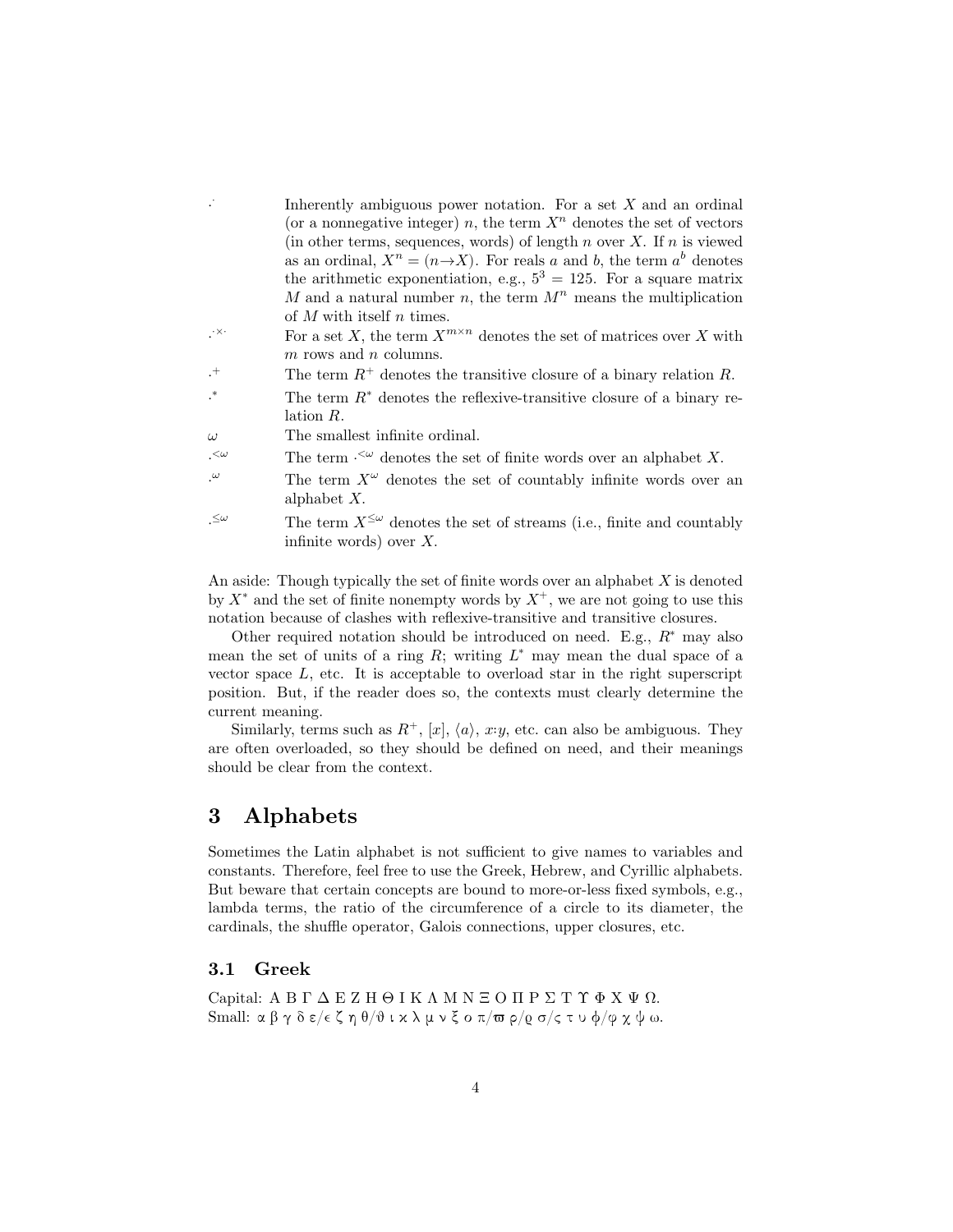|                  | Inherently ambiguous power notation. For a set $X$ and an ordinal                    |
|------------------|--------------------------------------------------------------------------------------|
|                  | (or a nonnegative integer) n, the term $Xn$ denotes the set of vectors               |
|                  | (in other terms, sequences, words) of length $n$ over $X$ . If $n$ is viewed         |
|                  | as an ordinal, $X^n = (n \rightarrow X)$ . For reals a and b, the term $a^b$ denotes |
|                  | the arithmetic exponentiation, e.g., $5^3 = 125$ . For a square matrix               |
|                  | M and a natural number n, the term $M^n$ means the multiplication                    |
|                  | of M with itself n times.                                                            |
| $\cdot^{\times}$ | For a set X, the term $X^{m \times n}$ denotes the set of matrices over X with       |
|                  | $m$ rows and $n$ columns.                                                            |
| $^{+}$           | The term $R^+$ denotes the transitive closure of a binary relation R.                |
| $\ast$           | The term $R^*$ denotes the reflexive-transitive closure of a binary re-              |
|                  | lation R.                                                                            |
| $\omega$         | The smallest infinite ordinal.                                                       |
| $\alpha$         | The term $\cdot^{\leq \omega}$ denotes the set of finite words over an alphabet X.   |
| $\cdot^{\omega}$ | The term $X^{\omega}$ denotes the set of countably infinite words over an            |
|                  | alphabet $X$ .                                                                       |
| $\leq\omega$     | The term $X^{\leq \omega}$ denotes the set of streams (i.e., finite and countably    |
|                  | infinite words) over $X$ .                                                           |
|                  |                                                                                      |

An aside: Though typically the set of finite words over an alphabet  $X$  is denoted by  $X^*$  and the set of finite nonempty words by  $X^+$ , we are not going to use this notation because of clashes with reflexive-transitive and transitive closures.

Other required notation should be introduced on need. E.g.,  $R^*$  may also mean the set of units of a ring  $R$ ; writing  $L^*$  may mean the dual space of a vector space  $L$ , etc. It is acceptable to overload star in the right superscript position. But, if the reader does so, the contexts must clearly determine the current meaning.

Similarly, terms such as  $R^+$ , [x],  $\langle a \rangle$ , x:y, etc. can also be ambiguous. They are often overloaded, so they should be defined on need, and their meanings should be clear from the context.

## **3 Alphabets**

Sometimes the Latin alphabet is not sufficient to give names to variables and constants. Therefore, feel free to use the Greek, Hebrew, and Cyrillic alphabets. But beware that certain concepts are bound to more-or-less fixed symbols, e.g., lambda terms, the ratio of the circumference of a circle to its diameter, the cardinals, the shuffle operator, Galois connections, upper closures, etc.

### **3.1 Greek**

Capital: ΑΒΓΔΕΖΗΘΙΚΛΜΝΞΟΠΡΣΤΥΦΧΨΩ. Small: α β γ δ ε/ $\epsilon \zeta$  η θ/θ ι κ λ μ ν ξ ο π/ $\overline{\omega}$  ρ/ $\varrho$  σ/ς τ υ φ/φ χ ψ ω.